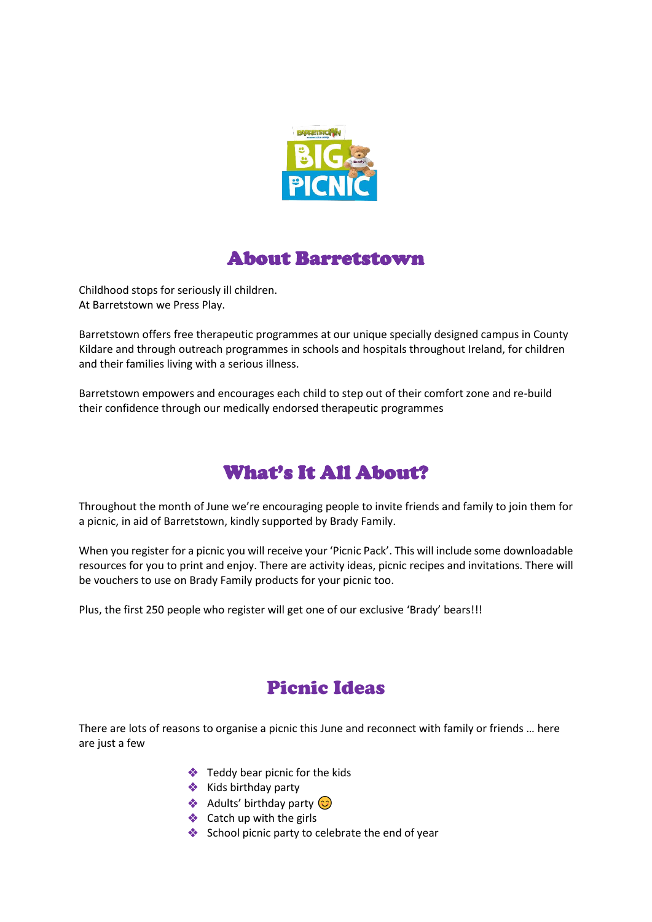

# About Barretstown

Childhood stops for seriously ill children. At Barretstown we Press Play.

Barretstown offers free therapeutic programmes at our unique specially designed campus in County Kildare and through outreach programmes in schools and hospitals throughout Ireland, for children and their families living with a serious illness.

Barretstown empowers and encourages each child to step out of their comfort zone and re-build their confidence through our medically endorsed therapeutic programmes

# What's It All About?

Throughout the month of June we're encouraging people to invite friends and family to join them for a picnic, in aid of Barretstown, kindly supported by Brady Family.

When you register for a picnic you will receive your 'Picnic Pack'. This will include some downloadable resources for you to print and enjoy. There are activity ideas, picnic recipes and invitations. There will be vouchers to use on Brady Family products for your picnic too.

Plus, the first 250 people who register will get one of our exclusive 'Brady' bears!!!

# Picnic Ideas

There are lots of reasons to organise a picnic this June and reconnect with family or friends … here are just a few

- ❖ Teddy bear picnic for the kids
- ❖ Kids birthday party
- $\triangleleft$  Adults' birthday party  $\odot$
- ❖ Catch up with the girls
- ❖ School picnic party to celebrate the end of year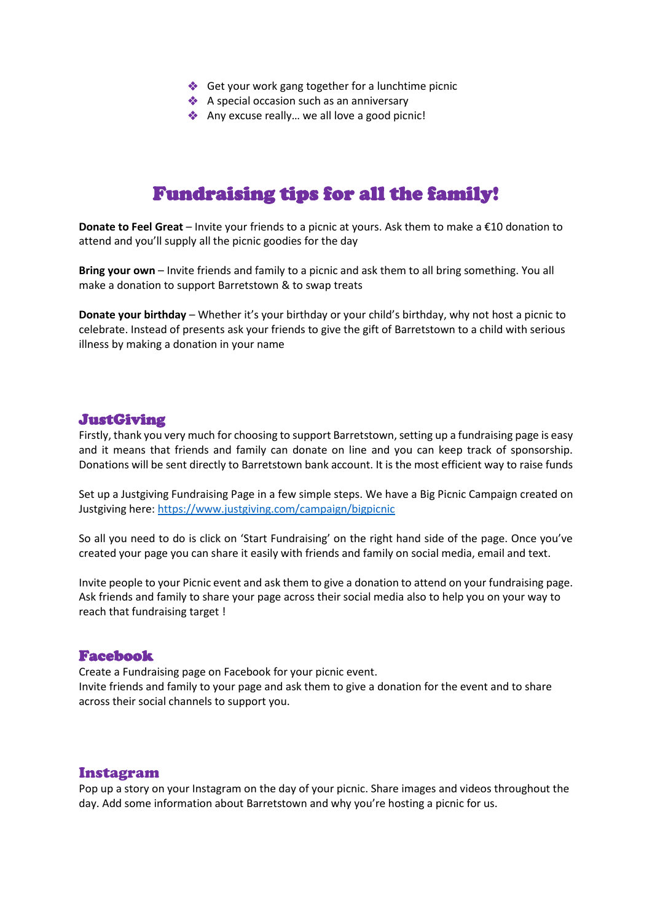- ❖ Get your work gang together for a lunchtime picnic
- ◆ A special occasion such as an anniversary
- ❖ Any excuse really… we all love a good picnic!

## Fundraising tips for all the family!

**Donate to Feel Great** – Invite your friends to a picnic at yours. Ask them to make a €10 donation to attend and you'll supply all the picnic goodies for the day

**Bring your own** – Invite friends and family to a picnic and ask them to all bring something. You all make a donation to support Barretstown & to swap treats

**Donate your birthday** – Whether it's your birthday or your child's birthday, why not host a picnic to celebrate. Instead of presents ask your friends to give the gift of Barretstown to a child with serious illness by making a donation in your name

### JustGiving

Firstly, thank you very much for choosing to support Barretstown, setting up a fundraising page is easy and it means that friends and family can donate on line and you can keep track of sponsorship. Donations will be sent directly to Barretstown bank account. It is the most efficient way to raise funds

Set up a Justgiving Fundraising Page in a few simple steps. We have a Big Picnic Campaign created on Justgiving here:<https://www.justgiving.com/campaign/bigpicnic>

So all you need to do is click on 'Start Fundraising' on the right hand side of the page. Once you've created your page you can share it easily with friends and family on social media, email and text.

Invite people to your Picnic event and ask them to give a donation to attend on your fundraising page. Ask friends and family to share your page across their social media also to help you on your way to reach that fundraising target !

#### Facebook

Create a Fundraising page on Facebook for your picnic event. Invite friends and family to your page and ask them to give a donation for the event and to share across their social channels to support you.

### Instagram

Pop up a story on your Instagram on the day of your picnic. Share images and videos throughout the day. Add some information about Barretstown and why you're hosting a picnic for us.